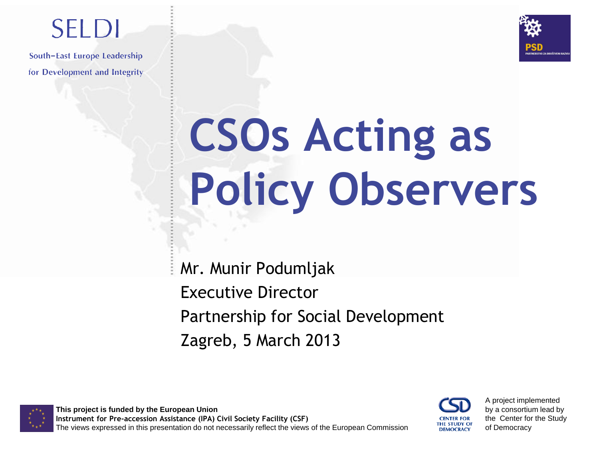

## **SELDI**

South-East Europe Leadership for Development and Integrity

# **CSOs Acting as Policy Observers**

Mr. Munir Podumljak Executive Director Partnership for Social Development Zagreb, 5 March 2013

**This project is funded by the European Union Instrument for Pre-accession Assistance (IPA) Civil Society Facility (CSF)** The views expressed in this presentation do not necessarily reflect the views of the European Commission



A project implemented by a consortium lead by the Center for the Study of Democracy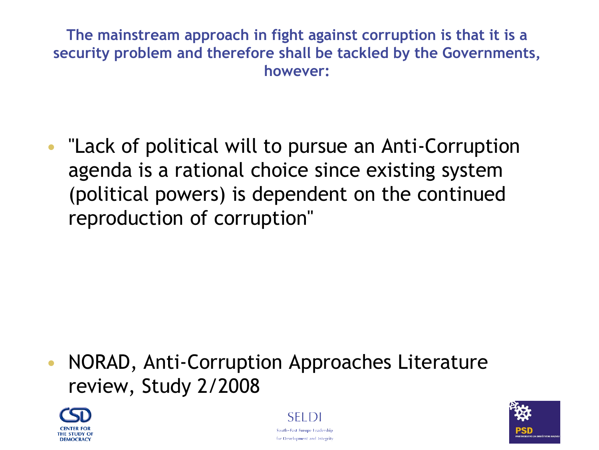**The mainstream approach in fight against corruption is that it is a security problem and therefore shall be tackled by the Governments, however:**

• ''Lack of political will to pursue an Anti-Corruption agenda is a rational choice since existing system (political powers) is dependent on the continued reproduction of corruption''

• NORAD, Anti-Corruption Approaches Literature review, Study 2/2008





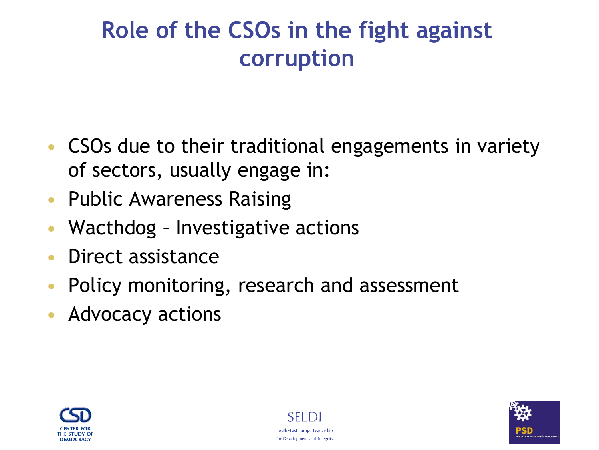#### **Role of the CSOs in the fight against corruption**

- CSOs due to their traditional engagements in variety of sectors, usually engage in:
- Public Awareness Raising
- Wacthdog Investigative actions
- Direct assistance
- Policy monitoring, research and assessment
- Advocacy actions





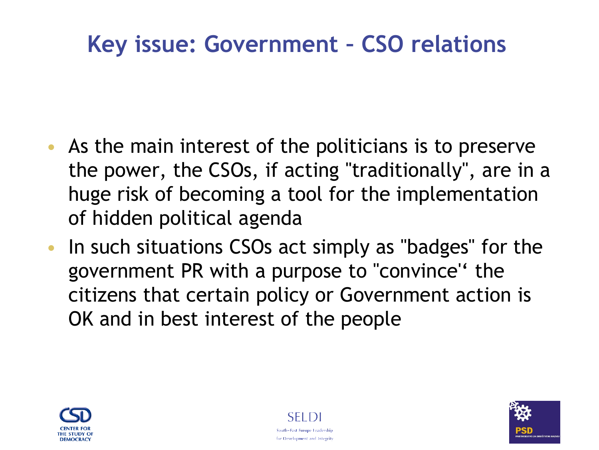#### **Key issue: Government – CSO relations**

- As the main interest of the politicians is to preserve the power, the CSOs, if acting "traditionally", are in a huge risk of becoming a tool for the implementation of hidden political agenda
- In such situations CSOs act simply as "badges" for the government PR with a purpose to "convince" the citizens that certain policy or Government action is OK and in best interest of the people





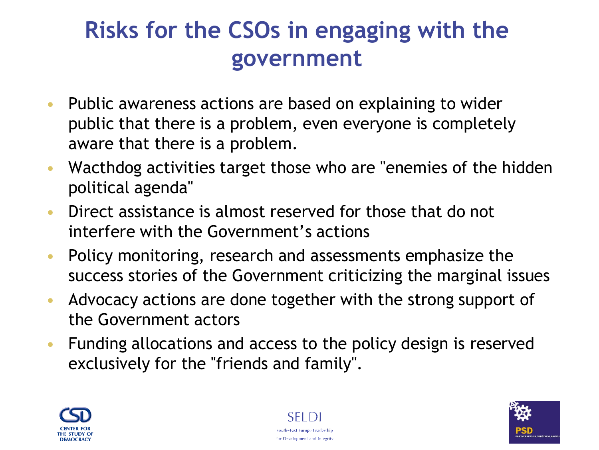#### **Risks for the CSOs in engaging with the government**

- Public awareness actions are based on explaining to wider public that there is a problem, even everyone is completely aware that there is a problem.
- Wacthdog activities target those who are "enemies of the hidden political agenda''
- Direct assistance is almost reserved for those that do not interfere with the Government's actions
- Policy monitoring, research and assessments emphasize the success stories of the Government criticizing the marginal issues
- Advocacy actions are done together with the strong support of the Government actors
- Funding allocations and access to the policy design is reserved exclusively for the "friends and family".





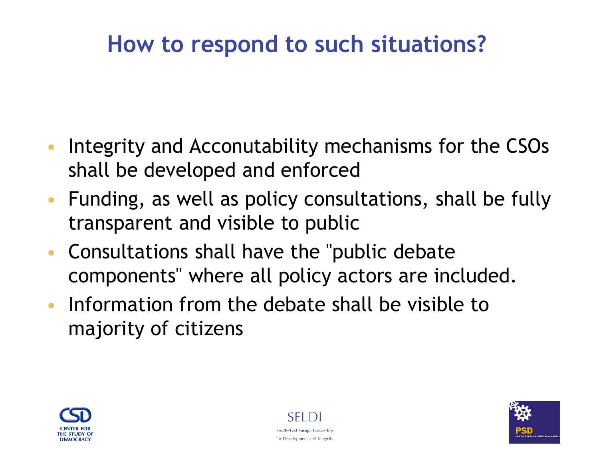#### **How to respond to such situations?**

- Integrity and Acconutability mechanisms for the CSOs shall be developed and enforced
- Funding, as well as policy consultations, shall be fully transparent and visible to public
- Consultations shall have the ''public debate components'' where all policy actors are included.
- Information from the debate shall be visible to majority of citizens





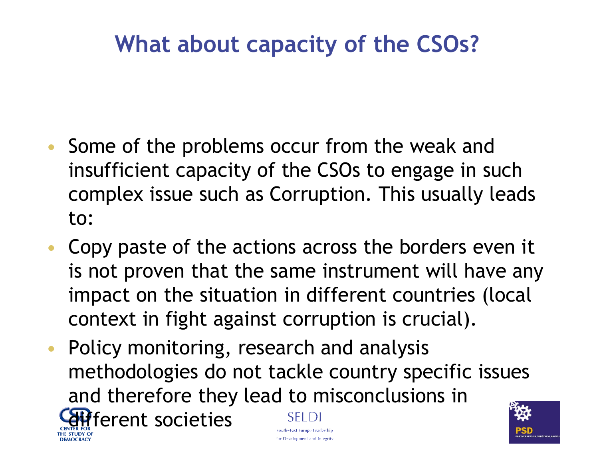#### **What about capacity of the CSOs?**

- Some of the problems occur from the weak and insufficient capacity of the CSOs to engage in such complex issue such as Corruption. This usually leads to:
- Copy paste of the actions across the borders even it is not proven that the same instrument will have any impact on the situation in different countries (local context in fight against corruption is crucial).
- Policy monitoring, research and analysis methodologies do not tackle country specific issues and therefore they lead to misconclusions in fferent societies SEL DI South-East Europe Leadership for Development and Integrity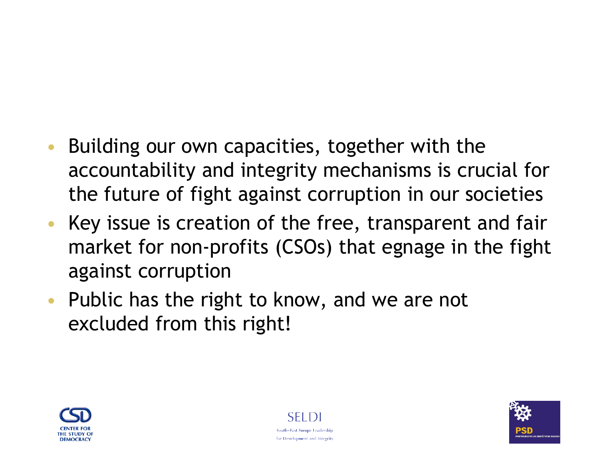#### Building our own capacities, together with the accountability and integrity mechanisms is crucial for the future of fight against corruption in our societies

- Key issue is creation of the free, transparent and fair market for non-profits (CSOs) that egnage in the fight against corruption
- Public has the right to know, and we are not excluded from this right!